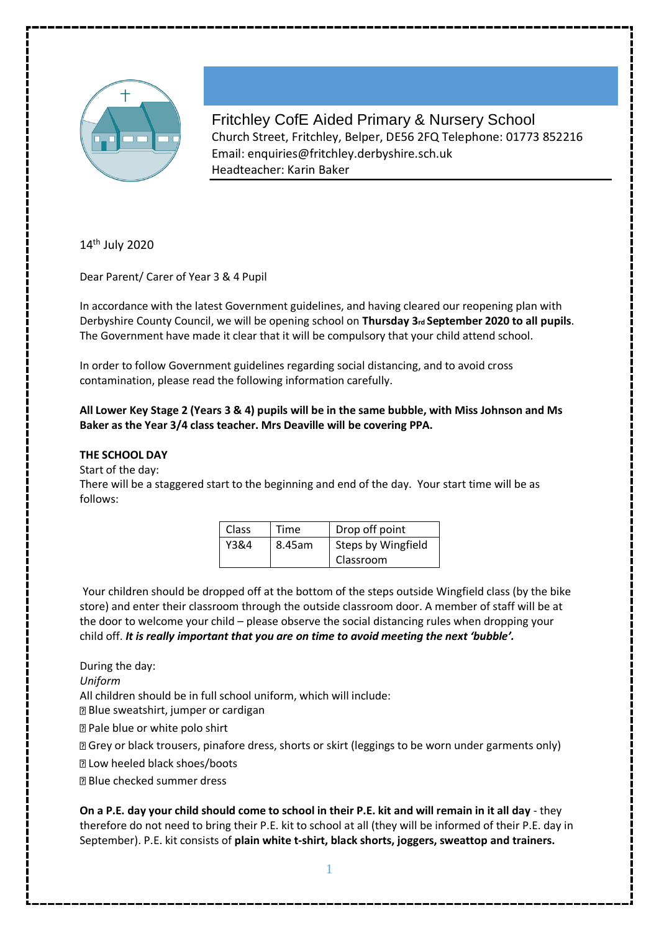

Fritchley CofE Aided Primary & Nursery School Church Street, Fritchley, Belper, DE56 2FQ Telephone: 01773 852216 Email: enquiries@fritchley.derbyshire.sch.uk Headteacher: Karin Baker

14<sup>th</sup> July 2020

Dear Parent/ Carer of Year 3 & 4 Pupil

In accordance with the latest Government guidelines, and having cleared our reopening plan with Derbyshire County Council, we will be opening school on **Thursday 3rd September 2020 to all pupils**. The Government have made it clear that it will be compulsory that your child attend school.

In order to follow Government guidelines regarding social distancing, and to avoid cross contamination, please read the following information carefully.

# **All Lower Key Stage 2 (Years 3 & 4) pupils will be in the same bubble, with Miss Johnson and Ms Baker as the Year 3/4 class teacher. Mrs Deaville will be covering PPA.**

# **THE SCHOOL DAY**

Start of the day:

There will be a staggered start to the beginning and end of the day. Your start time will be as follows:

| Class | Time   | Drop off point     |  |
|-------|--------|--------------------|--|
| Y3&4  | 8.45am | Steps by Wingfield |  |
|       |        | Classroom          |  |

Your children should be dropped off at the bottom of the steps outside Wingfield class (by the bike store) and enter their classroom through the outside classroom door. A member of staff will be at the door to welcome your child – please observe the social distancing rules when dropping your child off. *It is really important that you are on time to avoid meeting the next 'bubble'.* 

During the day:

*Uniform* 

All children should be in full school uniform, which will include:

Blue sweatshirt, jumper or cardigan

Pale blue or white polo shirt

Grey or black trousers, pinafore dress, shorts or skirt (leggings to be worn under garments only)

**Z** Low heeled black shoes/boots

Blue checked summer dress

**On a P.E. day your child should come to school in their P.E. kit and will remain in it all day** - they therefore do not need to bring their P.E. kit to school at all (they will be informed of their P.E. day in September). P.E. kit consists of **plain white t-shirt, black shorts, joggers, sweattop and trainers.**